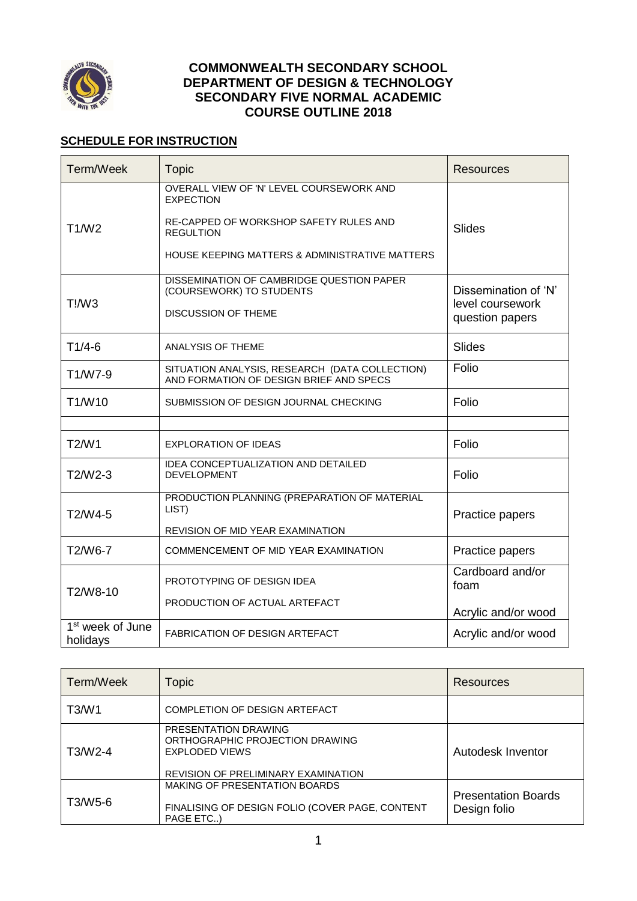

### **COMMONWEALTH SECONDARY SCHOOL DEPARTMENT OF DESIGN & TECHNOLOGY SECONDARY FIVE NORMAL ACADEMIC COURSE OUTLINE 2018**

# **SCHEDULE FOR INSTRUCTION**

| Term/Week                                | <b>Topic</b>                                                                              | <b>Resources</b>                    |
|------------------------------------------|-------------------------------------------------------------------------------------------|-------------------------------------|
|                                          | OVERALL VIEW OF 'N' LEVEL COURSEWORK AND<br><b>EXPECTION</b>                              |                                     |
| T1/W2                                    | RE-CAPPED OF WORKSHOP SAFETY RULES AND<br><b>REGULTION</b>                                | <b>Slides</b>                       |
|                                          | HOUSE KEEPING MATTERS & ADMINISTRATIVE MATTERS                                            |                                     |
|                                          | DISSEMINATION OF CAMBRIDGE QUESTION PAPER<br>(COURSEWORK) TO STUDENTS                     | Dissemination of 'N'                |
| T!/W3                                    | <b>DISCUSSION OF THEME</b>                                                                | level coursework<br>question papers |
| $T1/4-6$                                 | ANALYSIS OF THEME                                                                         | <b>Slides</b>                       |
| T1/W7-9                                  | SITUATION ANALYSIS, RESEARCH (DATA COLLECTION)<br>AND FORMATION OF DESIGN BRIEF AND SPECS | Folio                               |
| T1/W10                                   | SUBMISSION OF DESIGN JOURNAL CHECKING                                                     | Folio                               |
|                                          |                                                                                           |                                     |
| T2/W1                                    | <b>EXPLORATION OF IDEAS</b>                                                               | Folio                               |
| T2/W2-3                                  | IDEA CONCEPTUALIZATION AND DETAILED<br><b>DEVELOPMENT</b>                                 | Folio                               |
| T2/W4-5                                  | PRODUCTION PLANNING (PREPARATION OF MATERIAL<br>LIST)                                     | Practice papers                     |
|                                          | REVISION OF MID YEAR EXAMINATION                                                          |                                     |
| T2/W6-7                                  | COMMENCEMENT OF MID YEAR EXAMINATION                                                      | Practice papers                     |
| T2/W8-10                                 | PROTOTYPING OF DESIGN IDEA                                                                | Cardboard and/or<br>foam            |
|                                          | PRODUCTION OF ACTUAL ARTEFACT                                                             | Acrylic and/or wood                 |
| 1 <sup>st</sup> week of June<br>holidays | <b>FABRICATION OF DESIGN ARTEFACT</b>                                                     | Acrylic and/or wood                 |

| Term/Week | <b>Topic</b>                                                                                                            | <b>Resources</b>                           |
|-----------|-------------------------------------------------------------------------------------------------------------------------|--------------------------------------------|
| T3/W1     | COMPLETION OF DESIGN ARTEFACT                                                                                           |                                            |
| T3/W2-4   | PRESENTATION DRAWING<br>ORTHOGRAPHIC PROJECTION DRAWING<br><b>EXPLODED VIEWS</b><br>REVISION OF PRELIMINARY EXAMINATION | Autodesk Inventor                          |
| T3/W5-6   | <b>MAKING OF PRESENTATION BOARDS</b><br>FINALISING OF DESIGN FOLIO (COVER PAGE, CONTENT<br>PAGE ETC)                    | <b>Presentation Boards</b><br>Design folio |